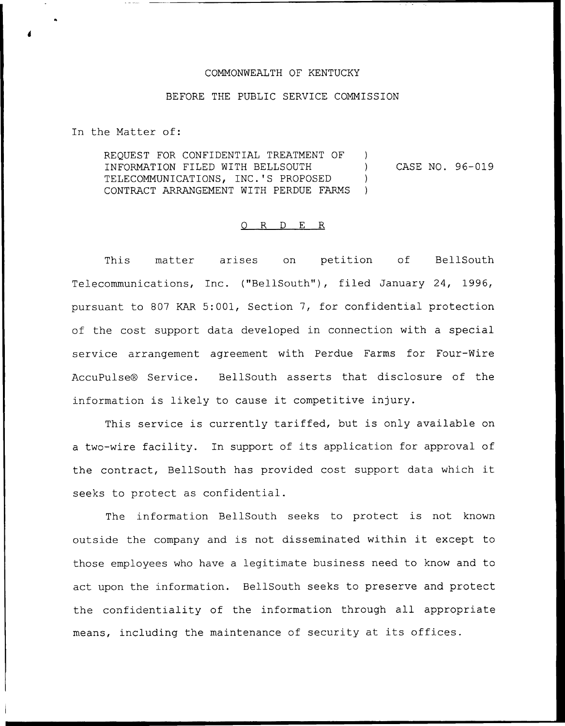## COMMONWEALTH OF KENTUCKY

## BEFORE THE PUBLIC SERVICE COMMISSION

In the Matter of:

REQUEST FOR CONFIDENTIAL TREATMENT OF INFORMATION FILED WITH BELLSOUTH TELECOMMUNICATIONS, INC.'5 PROPOSED CONTRACT ARRANGEMENT WITH PERDUE FARMS  $\left( \right)$ ) CASE NO. 96-019  $\left| \right\rangle$  $\mathcal{L}$ 

## 0 R <sup>D</sup> E R

This matter arises on petition of BellSouth Telecommunications, Inc. ("BellSouth"), filed January 24, 1996, pursuant to 807 KAR 5:001, Section 7, for confidential protection of the cost support data developed in connection with a special service arrangement agreement with Perdue Farms for Four-Wire AccuPulse® Service. BellSouth asserts that disclosure of the information is likely to cause it competitive injury.

This service is currently tariffed, but is only available on <sup>a</sup> two-wire facility. In support of its application for approval of the contract, BellSouth has provided cost support data which it seeks to protect as confidential.

The information BellSouth seeks to protect is not known outside the company and is not disseminated within it except to those employees who have a legitimate business need to know and to act upon the information. BellSouth seeks to preserve and protect the confidentiality of the information through all appropriate means, including the maintenance of security at its offices.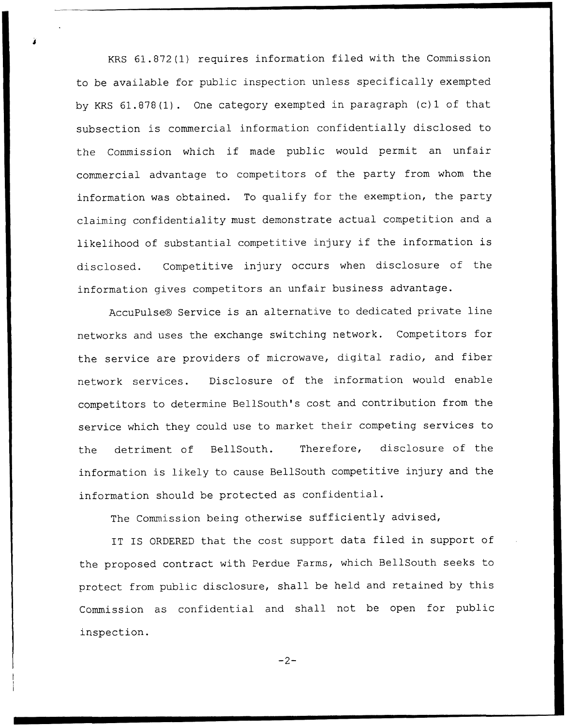KRS 61.872(1) requires information filed with the Commission to be available for public inspection unless specifically exempted by KRS 61.878(1). One category exempted in paragraph (c) <sup>1</sup> of that subsection is commercial information confidentially disclosed to the Commission which if made public would permit an unfair commercial advantage to competitors of the party from whom the information was obtained. To qualify for the exemption, the party claiming confidentiality must demonstrate actual competition and a likelihood of substantial competitive injury if the information is disclosed. Competitive injury occurs when disclosure of the information gives competitors an unfair business advantage.

AccuPulse® Service is an alternative to dedicated private line networks and uses the exchange switching network. Competitors for the service are providers of microwave, digital radio, and fiber network services. Disclosure of the information would enable competitors to determine BellSouth's cost and contribution from the service which they could use to market their competing services to the detriment of BellSouth. Therefore, disclosure of the information is likely to cause BellSouth competitive injury and the information should be protected as confidential.

The Commission being otherwise sufficiently advised,

IT IS ORDERED that the cost support data filed in support of the proposed contract with Perdue Farms, which BellSouth seeks to protect from public disclosure, shall be held and retained by this Commission as confidential and shall not be open for public inspection.

 $-2-$